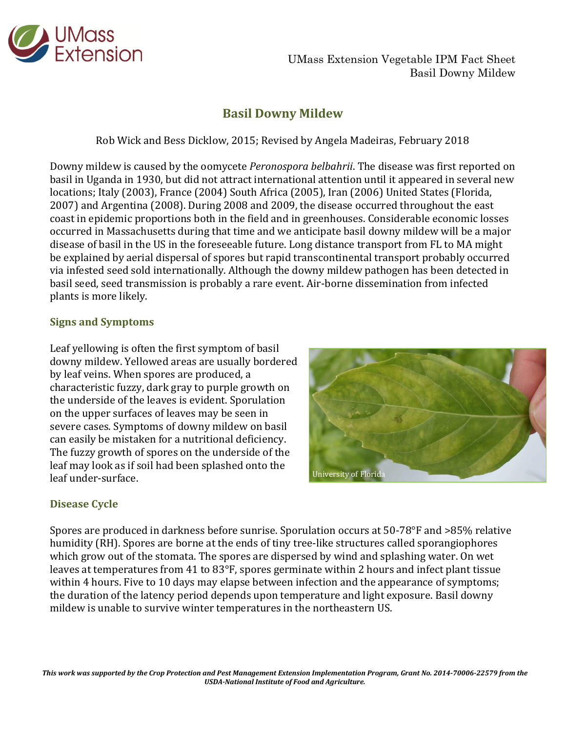

UMass Extension Vegetable IPM Fact Sheet Basil Downy Mildew

# **Basil Downy Mildew**

Rob Wick and Bess Dicklow, 2015; Revised by Angela Madeiras, February 2018

Downy mildew is caused by the oomycete *Peronospora belbahrii*. The disease was first reported on basil in Uganda in 1930, but did not attract international attention until it appeared in several new locations; Italy (2003), France (2004) South Africa (2005), Iran (2006) United States (Florida, 2007) and Argentina (2008). During 2008 and 2009, the disease occurred throughout the east coast in epidemic proportions both in the field and in greenhouses. Considerable economic losses occurred in Massachusetts during that time and we anticipate basil downy mildew will be a major disease of basil in the US in the foreseeable future. Long distance transport from FL to MA might be explained by aerial dispersal of spores but rapid transcontinental transport probably occurred via infested seed sold internationally. Although the downy mildew pathogen has been detected in basil seed, seed transmission is probably a rare event. Air-borne dissemination from infected plants is more likely.

### **Signs and Symptoms**

Leaf yellowing is often the first symptom of basil downy mildew. Yellowed areas are usually bordered by leaf veins. When spores are produced, a characteristic fuzzy, dark gray to purple growth on the underside of the leaves is evident. Sporulation on the upper surfaces of leaves may be seen in severe cases. Symptoms of downy mildew on basil can easily be mistaken for a nutritional deficiency. The fuzzy growth of spores on the underside of the leaf may look as if soil had been splashed onto the leaf under-surface.



## **Disease Cycle**

Spores are produced in darkness before sunrise. Sporulation occurs at 50-78°F and >85% relative humidity (RH). Spores are borne at the ends of tiny tree-like structures called sporangiophores which grow out of the stomata. The spores are dispersed by wind and splashing water. On wet leaves at temperatures from 41 to 83°F, spores germinate within 2 hours and infect plant tissue within 4 hours. Five to 10 days may elapse between infection and the appearance of symptoms; the duration of the latency period depends upon temperature and light exposure. Basil downy mildew is unable to survive winter temperatures in the northeastern US.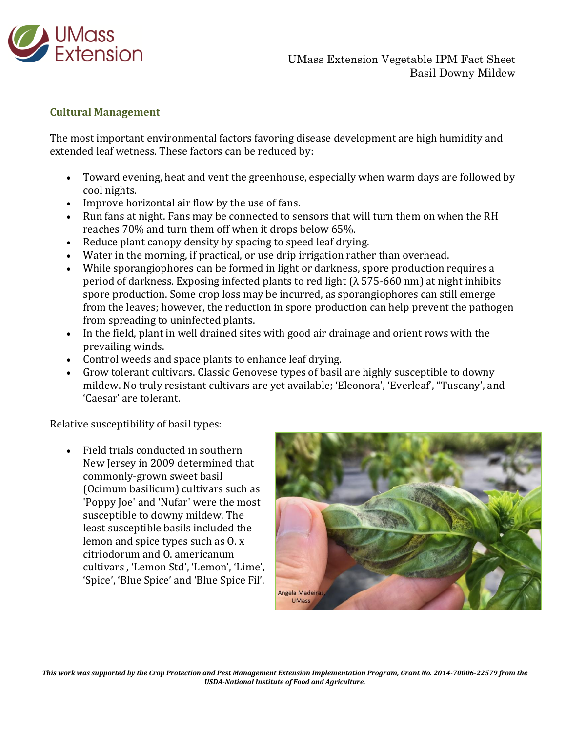

### **Cultural Management**

The most important environmental factors favoring disease development are high humidity and extended leaf wetness. These factors can be reduced by:

- Toward evening, heat and vent the greenhouse, especially when warm days are followed by cool nights.
- Improve horizontal air flow by the use of fans.
- Run fans at night. Fans may be connected to sensors that will turn them on when the RH reaches 70% and turn them off when it drops below 65%.
- Reduce plant canopy density by spacing to speed leaf drying.
- Water in the morning, if practical, or use drip irrigation rather than overhead.
- While sporangiophores can be formed in light or darkness, spore production requires a period of darkness. Exposing infected plants to red light (λ 575-660 nm) at night inhibits spore production. Some crop loss may be incurred, as sporangiophores can still emerge from the leaves; however, the reduction in spore production can help prevent the pathogen from spreading to uninfected plants.
- In the field, plant in well drained sites with good air drainage and orient rows with the prevailing winds.
- Control weeds and space plants to enhance leaf drying.
- Grow tolerant cultivars. Classic Genovese types of basil are highly susceptible to downy mildew. No truly resistant cultivars are yet available; 'Eleonora', 'Everleaf', "Tuscany', and 'Caesar' are tolerant.

Relative susceptibility of basil types:

 Field trials conducted in southern New Jersey in 2009 determined that commonly-grown sweet basil (Ocimum basilicum) cultivars such as 'Poppy Joe' and 'Nufar' were the most susceptible to downy mildew. The least susceptible basils included the lemon and spice types such as O. x citriodorum and O. americanum cultivars , 'Lemon Std', 'Lemon', 'Lime', 'Spice', 'Blue Spice' and 'Blue Spice Fil'.



*This work was supported by the Crop Protection and Pest Management Extension Implementation Program, Grant No. 2014-70006-22579 from the USDA-National Institute of Food and Agriculture.*